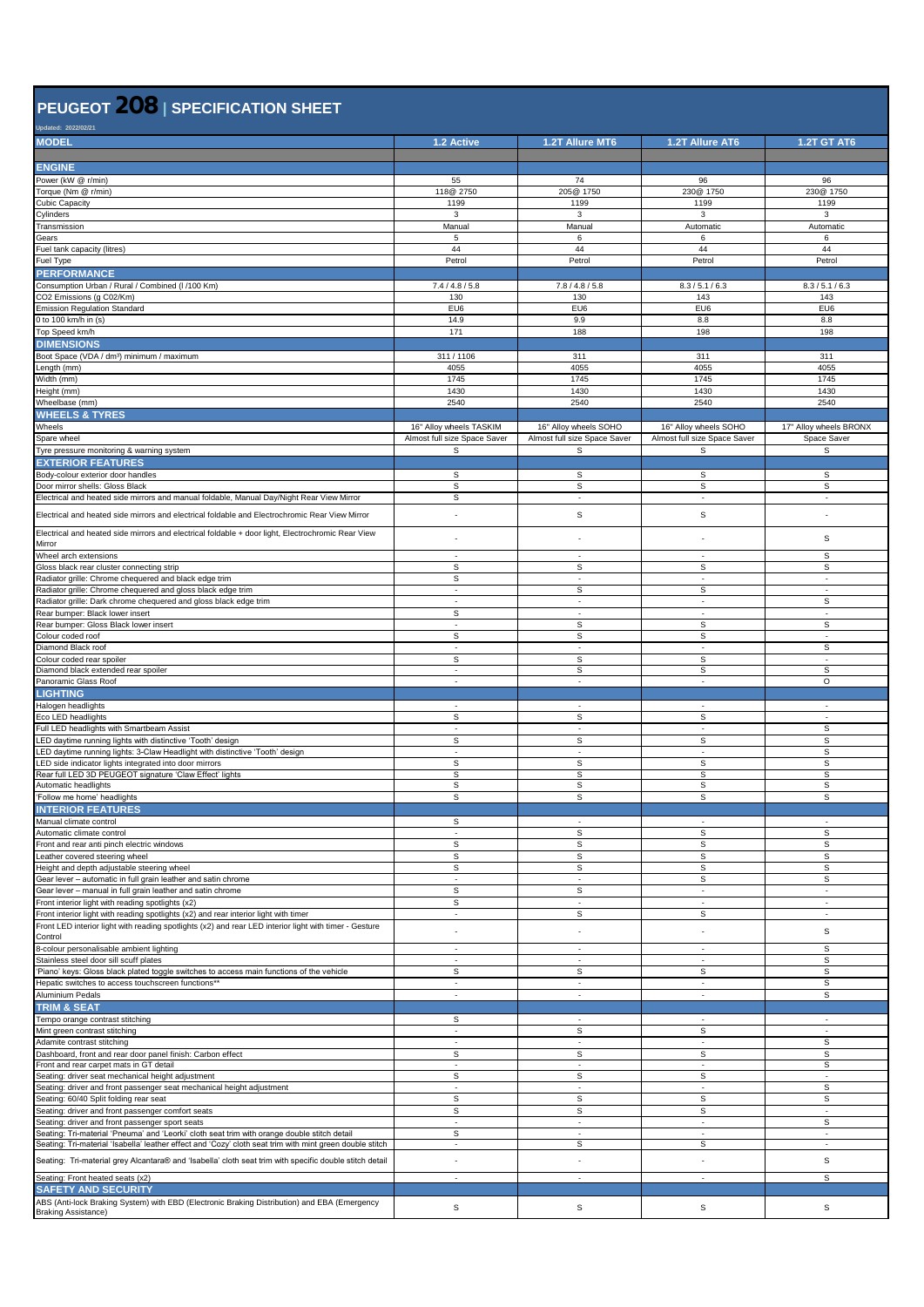## **PEUGEOT 208 <sup>|</sup> SPECIFICATION SHEET**

| Jpdated: 2022/02/21                                                                                                                       |                              |                               |                               |                               |
|-------------------------------------------------------------------------------------------------------------------------------------------|------------------------------|-------------------------------|-------------------------------|-------------------------------|
| <b>MODEL</b>                                                                                                                              | 1.2 Active                   | <b>1.2T Allure MT6</b>        | 1.2T Allure AT6               | <b>1.2T GT AT6</b>            |
|                                                                                                                                           |                              |                               |                               |                               |
| <b>ENGINE</b>                                                                                                                             |                              |                               |                               |                               |
| Power (kW @ r/min)                                                                                                                        | 55                           | 74                            | 96                            | 96                            |
| Torque (Nm @ r/min)                                                                                                                       | 118@ 2750                    | 205@ 1750                     | 230@ 1750                     | 230@ 1750                     |
| Cubic Capacity                                                                                                                            | 1199                         | 1199                          | 1199                          | 1199                          |
| Cylinders                                                                                                                                 | 3                            | 3                             | 3                             | 3                             |
| Transmission                                                                                                                              | Manual                       | Manual                        | Automatic                     | Automatic                     |
| Gears                                                                                                                                     | 5                            | 6                             | 6                             | 6                             |
| Fuel tank capacity (litres)                                                                                                               | 44                           | 44                            | 44                            | 44                            |
| Fuel Type                                                                                                                                 | Petrol                       | Petrol                        | Petrol                        | Petrol                        |
| <b>PERFORMANCE</b>                                                                                                                        |                              |                               |                               |                               |
| Consumption Urban / Rural / Combined (I /100 Km)                                                                                          | 7.4 / 4.8 / 5.8              | 7.8 / 4.8 / 5.8               | 8.3 / 5.1 / 6.3               | 8.3 / 5.1 / 6.3               |
| CO2 Emissions (g C02/Km)                                                                                                                  | 130                          | 130                           | 143                           | 143                           |
| <b>Emission Regulation Standard</b>                                                                                                       | EU6                          | EU6                           | EU6                           | EU6                           |
| to 100 km/h in (s)                                                                                                                        | 14.9                         | 9.9                           | 8.8                           | 8.8                           |
| Top Speed km/h                                                                                                                            | 171                          | 188                           | 198                           | 198                           |
| <b>DIMENSIONS</b>                                                                                                                         |                              |                               |                               |                               |
| Boot Space (VDA / dm <sup>3</sup> ) minimum / maximum                                                                                     | 311/1106                     | 311                           | 311                           | 311                           |
| ength (mm)                                                                                                                                | 4055                         | 4055                          | 4055                          | 4055                          |
| Nidth (mm)                                                                                                                                | 1745                         | 1745                          | 1745                          | 1745                          |
| Height (mm)                                                                                                                               | 1430                         | 1430                          | 1430                          | 1430                          |
| Wheelbase (mm)                                                                                                                            | 2540                         | 2540                          | 2540                          | 2540                          |
| <b>WHEELS &amp; TYRES</b>                                                                                                                 |                              |                               |                               |                               |
| Wheels                                                                                                                                    | 16" Alloy wheels TASKIM      | 16" Alloy wheels SOHO         | 16" Alloy wheels SOHO         | 17" Alloy wheels BRONX        |
| Spare wheel                                                                                                                               | Almost full size Space Saver | Almost full size Space Saver  | Almost full size Space Saver  | Space Saver                   |
| Tyre pressure monitoring & warning system                                                                                                 | S                            | s                             | s                             | s                             |
| <b>EXTERIOR FEATURES</b>                                                                                                                  |                              |                               |                               |                               |
| Body-colour exterior door handles                                                                                                         | S                            | s                             | s                             | s                             |
| Door mirror shells: Gloss Black                                                                                                           | s                            | s                             | $\mathbb S$                   | S                             |
| Electrical and heated side mirrors and manual foldable, Manual Day/Night Rear View Mirror                                                 | s                            | $\overline{\phantom{a}}$      | $\overline{\phantom{a}}$      | $\sim$                        |
|                                                                                                                                           |                              |                               |                               |                               |
| Electrical and heated side mirrors and electrical foldable and Electrochromic Rear View Mirror                                            | ٠                            | s                             | $\mathbb S$                   |                               |
| Electrical and heated side mirrors and electrical foldable + door light, Electrochromic Rear View                                         |                              |                               |                               |                               |
| Mirror                                                                                                                                    |                              |                               | ٠                             | s                             |
| Wheel arch extensions                                                                                                                     |                              | ÷.                            | ÷.                            | $\mathsf{s}$                  |
| Gloss black rear cluster connecting strip                                                                                                 | s                            | s                             | S                             | s                             |
| Radiator grille: Chrome chequered and black edge trim                                                                                     | S                            | $\overline{\phantom{a}}$      | ÷,                            | ÷.                            |
| Radiator grille: Chrome chequered and gloss black edge trim                                                                               | ×.                           | s                             | $\mathbb S$                   | ٠                             |
| Radiator grille: Dark chrome chequered and gloss black edge trim                                                                          |                              | ÷.                            | ٠                             | $\mathsf{s}$                  |
| Rear bumper: Black lower insert                                                                                                           | s                            | $\overline{\phantom{a}}$      | $\overline{\phantom{a}}$      | $\overline{\phantom{a}}$      |
| Rear bumper: Gloss Black lower insert                                                                                                     | ÷                            | S                             | s                             | s                             |
| Colour coded roof                                                                                                                         | s                            | s                             | s                             | $\overline{\phantom{a}}$      |
| Diamond Black roof                                                                                                                        | ÷.                           | $\sim$                        | $\sim$                        | S                             |
| Colour coded rear spoiler                                                                                                                 | s                            | s                             | s                             | $\sim$                        |
| Diamond black extended rear spoiler                                                                                                       | $\overline{\phantom{a}}$     | s                             | S                             | s                             |
| Panoramic Glass Roof                                                                                                                      | $\sim$                       | $\overline{\phantom{a}}$      | ٠                             | $\circ$                       |
| <b>LIGHTING</b>                                                                                                                           |                              |                               |                               |                               |
| Halogen headlights                                                                                                                        |                              |                               |                               |                               |
| Eco LED headlights                                                                                                                        | s                            | s                             | s                             | ÷,                            |
| Full LED headlights with Smartbeam Assist                                                                                                 | $\overline{\phantom{a}}$     | $\overline{\phantom{a}}$      | $\overline{\phantom{a}}$      | S                             |
| .ED daytime running lights with distinctive 'Tooth' design                                                                                | s                            | s                             | s                             | s                             |
| LED daytime running lights: 3-Claw Headlight with distinctive 'Tooth' design                                                              |                              |                               |                               | s                             |
| ED side indicator lights integrated into door mirrors                                                                                     | s                            | s                             | s                             | s                             |
| Rear full LED 3D PEUGEOT signature 'Claw Effect' lights                                                                                   | s                            | S                             | s                             | $\overline{\mathbf{s}}$       |
| Automatic headlights                                                                                                                      | s                            | s                             | S                             | s                             |
| Follow me home' headlights                                                                                                                | s                            | s                             | s                             | s                             |
| <b>INTERIOR FEATURES</b>                                                                                                                  |                              |                               |                               |                               |
| Manual climate control                                                                                                                    | s                            |                               |                               |                               |
| Automatic climate control                                                                                                                 | ٠                            | s                             | S                             | $\mathsf{s}$                  |
| Front and rear anti pinch electric windows                                                                                                | $\mathsf{s}$                 | S                             | $\mathbb S$                   | $\mathsf{s}$                  |
| eather covered steering wheel                                                                                                             | $\mathbb S$                  | s                             | $\mathbb S$                   | s                             |
| Height and depth adjustable steering wheel                                                                                                | S                            | S                             | s                             | $\mathbb S$                   |
| Gear lever - automatic in full grain leather and satin chrome                                                                             | $\sim$                       | $\overline{\phantom{a}}$      | s                             | s                             |
| Gear lever - manual in full grain leather and satin chrome                                                                                | S<br>S                       | s<br>$\overline{\phantom{a}}$ | $\overline{\phantom{a}}$      | ٠                             |
| Front interior light with reading spotlights (x2)<br>Front interior light with reading spotlights (x2) and rear interior light with timer | ×.                           | s                             | $\overline{\phantom{a}}$<br>s | $\overline{\phantom{a}}$<br>÷ |
| Front LED interior light with reading spotlights (x2) and rear LED interior light with timer - Gesture                                    |                              |                               |                               |                               |
| Control                                                                                                                                   |                              |                               |                               | s                             |
| 3-colour personalisable ambient lighting                                                                                                  |                              | $\overline{\phantom{a}}$      | ٠                             | S                             |
| Stainless steel door sill scuff plates                                                                                                    | ×.                           | $\sim$                        | $\mathcal{L}_{\mathcal{A}}$   | s                             |
| Piano' keys: Gloss black plated toggle switches to access main functions of the vehicle                                                   | s                            | s                             | s                             | s                             |
| Hepatic switches to access touchscreen functions**                                                                                        | $\overline{\phantom{a}}$     | $\overline{\phantom{a}}$      | $\sim$                        | $\texttt{S}$                  |
| Aluminium Pedals                                                                                                                          | $\overline{\phantom{a}}$     | $\overline{\phantom{a}}$      | ÷,                            | s                             |
| <b>TRIM &amp; SEAT</b>                                                                                                                    |                              |                               |                               |                               |
| Tempo orange contrast stitching                                                                                                           | s                            | $\overline{\phantom{a}}$      | $\overline{\phantom{a}}$      | $\overline{\phantom{a}}$      |
| Mint green contrast stitching                                                                                                             |                              | s                             | $\mathbb S$                   | ×.                            |
| Adamite contrast stitching                                                                                                                | $\sim$                       | $\overline{\phantom{a}}$      | $\overline{\phantom{a}}$      | s                             |
| Dashboard, front and rear door panel finish: Carbon effect                                                                                | $\mathsf S$                  | s                             | $\mathbb S$                   | $\mathbb S$                   |
| Front and rear carpet mats in GT detail                                                                                                   | $\overline{\phantom{a}}$     | $\overline{\phantom{a}}$      | $\overline{\phantom{a}}$      | s                             |
| Seating: driver seat mechanical height adjustment                                                                                         | s                            | s                             | s                             | $\overline{\phantom{a}}$      |
| Seating: driver and front passenger seat mechanical height adjustment                                                                     | $\overline{\phantom{a}}$     | $\overline{\phantom{a}}$      | $\overline{\phantom{a}}$      | s                             |
| Seating: 60/40 Split folding rear seat                                                                                                    | S                            | s                             | S                             | s                             |
| Seating: driver and front passenger comfort seats                                                                                         | $\mathsf{s}$                 | s                             | $\mathbb S$                   | $\sim$                        |
| Seating: driver and front passenger sport seats                                                                                           | $\overline{\phantom{a}}$     | $\overline{\phantom{a}}$      | $\overline{\phantom{a}}$      | s                             |
| Seating: Tri-material 'Pneuma' and 'Leorki' cloth seat trim with orange double stitch detail                                              | $\mathsf{s}$                 | $\overline{\phantom{a}}$      | $\overline{\phantom{a}}$      | $\overline{\phantom{a}}$      |
| Seating: Tri-material 'Isabella' leather effect and 'Cozy' cloth seat trim with mint green double stitch                                  |                              | s                             | s                             | $\overline{\phantom{a}}$      |
|                                                                                                                                           |                              | $\overline{a}$                | ٠                             | S                             |
| Seating:  Tri-material grey Alcantara® and 'Isabella' cloth seat trim with specific double stitch detail                                  |                              |                               |                               |                               |
| Seating: Front heated seats (x2)                                                                                                          | $\overline{\phantom{a}}$     | $\overline{\phantom{a}}$      | $\overline{\phantom{a}}$      | s                             |
| <b>SAFETY AND SECURITY</b>                                                                                                                |                              |                               |                               |                               |
| ABS (Anti-lock Braking System) with EBD (Electronic Braking Distribution) and EBA (Emergency                                              | $\mathsf{s}$                 | s                             | $\mathbb S$                   | S                             |
| <b>Braking Assistance)</b>                                                                                                                |                              |                               |                               |                               |